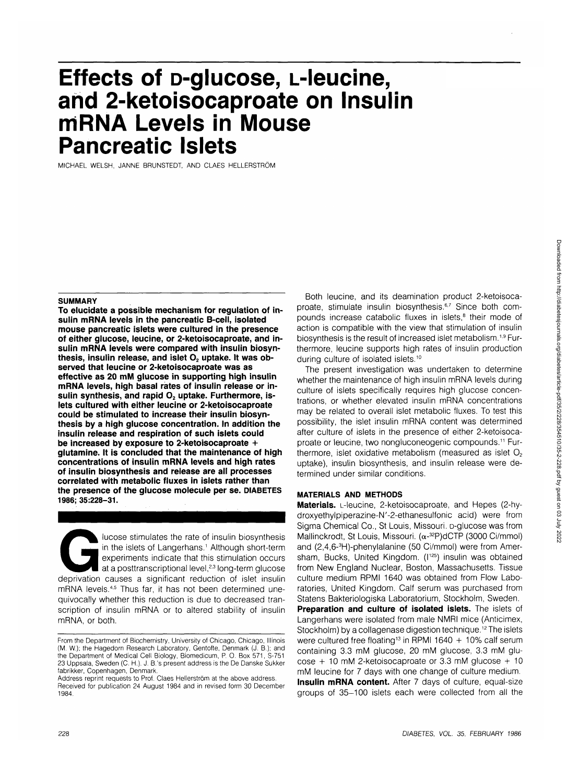# **Effects of p-glucose, L-leucine, and 2-ketoisocaproate on Insulin mRNA Levels in Mouse Pancreatic Islets**

MICHAEL WELSH, JANNE BRUNSTEDT, AND CLAES HELLERSTROM

### **SUMMARY**

**To elucidate a possible mechanism for regulation of insulin mRNA levels in the pancreatic B-cell, isolated mouse pancreatic islets were cultured in the presence of either glucose, leucine, or 2-ketoisocaproate, and insulin mRNA levels were compared with insulin biosyn**thesis, insulin release, and islet O<sub>2</sub> uptake. It was ob**served that leucine or 2-ketoisocaproate was as effective as 20 mM glucose in supporting high insulin mRNA levels, high basal rates of insulin release or in**sulin synthesis, and rapid O<sub>2</sub> uptake. Furthermore, is**lets cultured with either leucine or 2-ketoisocaproate could be stimulated to increase their insulin biosynthesis by a high glucose concentration. In addition the insulin release and respiration of such islets could be increased by exposure to 2-ketoisocaproate + glutamine. It is concluded that the maintenance of high concentrations of insulin mRNA levels and high rates of insulin biosynthesis and release are all processes correlated with metabolic fluxes in islets rather than the presence of the glucose molecule per se. DIABETES 1986; 35:228-31.**

Iucose stimulates the rate of insulin biosynthesis<br>
in the islets of Langerhans.' Although short-term<br>
experiments indicate that this stimulation occurs<br>
at a posttranscriptional level,<sup>23</sup> long-term glucose<br>
deprivation c in the islets of Langerhans.<sup>1</sup> Although short-term experiments indicate that this stimulation occurs at a posttranscriptional level,<sup>2,3</sup> long-term glucose mRNA levels.<sup>4,5</sup> Thus far, it has not been determined unequivocally whether this reduction is due to decreased transcription of insulin mRNA or to altered stability of insulin mRNA, or both.

Both leucine, and its deamination product 2-ketoisocaproate, stimulate insulin biosynthesis.<sup>6,7</sup> Since both compounds increase catabolic fluxes in islets,<sup>8</sup> their mode of action is compatible with the view that stimulation of insulin biosynthesis is the result of increased islet metabolism.<sup>1,9</sup> Furthermore, leucine supports high rates of insulin production during culture of isolated islets.<sup>10</sup>

The present investigation was undertaken to determine whether the maintenance of high insulin mRNA levels during culture of islets specifically requires high glucose concentrations, or whether elevated insulin mRNA concentrations may be related to overall islet metabolic fluxes. To test this possibility, the islet insulin mRNA content was determined after culture of islets in the presence of either 2-ketoisocaproate or leucine, two nongluconeogenic compounds.11 Furthermore, islet oxidative metabolism (measured as islet  $O<sub>2</sub>$ uptake), insulin biosynthesis, and insulin release were determined under similar conditions.

## **MATERIALS AND METHODS**

**Materials.** L-leucine, 2-ketoisocaproate, and Hepes (2-hydroxyethylpiperazine-N'-2-ethanesulfonic acid) were from Sigma Chemical Co., St Louis, Missouri. D-glucose was from Mallinckrodt, St Louis, Missouri.  $(\alpha^{-32}P)dCTP$  (3000 Ci/mmol) and (2,4,6-3 H)-phenylalanine (50 Ci/mmol) were from Amersham, Bucks, United Kingdom. (I<sup>125</sup>) insulin was obtained from New England Nuclear, Boston, Massachusetts. Tissue culture medium RPMI 1640 was obtained from Flow Laboratories, United Kingdom. Calf serum was purchased from Statens Bakteriologiska Laboratorium, Stockholm, Sweden.

**Preparation and culture of isolated islets.** The islets of Langerhans were isolated from male NMRI mice (Anticimex, Stockholm) by a collagenase digestion technique.<sup>12</sup> The islets were cultured free floating<sup>13</sup> in RPMI 1640 + 10% calf serum containing 3.3 mM glucose, 20 mM glucose, 3.3 mM glu- $\cos\theta$  + 10 mM 2-ketoisocaproate or 3.3 mM glucose + 10 mM leucine for 7 days with one change of culture medium. **Insulin mRNA content.** After 7 days of culture, equal-size groups of 35-100 islets each were collected from all the

From the Department of Biochemistry, University of Chicago, Chicago, Illinois (M. W.); the Hagedorn Research Laboratory, Gentofte, Denmark (J. B.); and the Department of Medical Cell Biology, Biomedicum, P. 0. Box 571, S-751 23 Uppsala, Sweden (C. H.). J. B.'s present address is the De Danske Sukker fabrikker, Copenhagen, Denmark.

Address reprint requests to Prof. Claes Hellerström at the above address. Received for publication 24 August 1984 and in revised form 30 December 1984.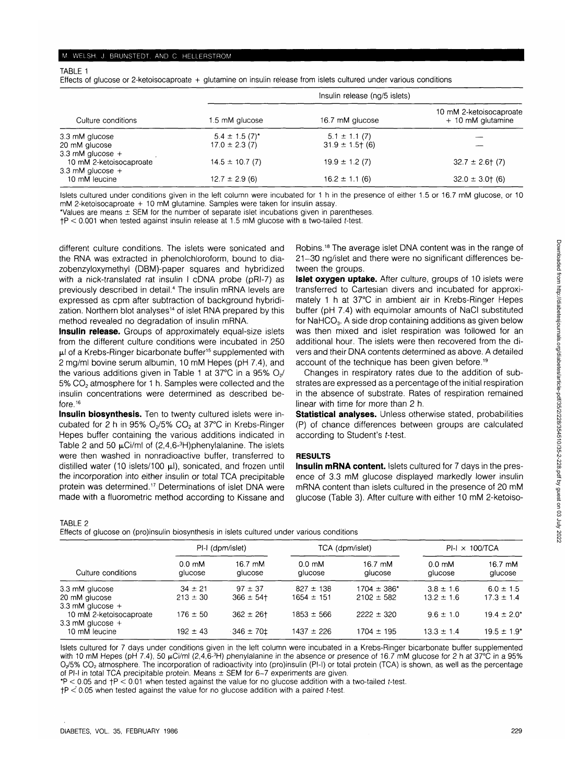TABLE 1

Effects of glucose or 2-ketoisocaproate + glutamine on insulin release from islets cultured under various conditions

|                         | Insulin release (ng/5 islets) |                      |                                              |  |  |
|-------------------------|-------------------------------|----------------------|----------------------------------------------|--|--|
| Culture conditions      | 1.5 mM glucose                | 16.7 mM glucose      | 10 mM 2-ketoisocaproate<br>+ 10 mM glutamine |  |  |
| 3.3 mM glucose          | $5.4 \pm 1.5(7)^{*}$          | $5.1 \pm 1.1(7)$     |                                              |  |  |
| 20 mM glucose           | $17.0 \pm 2.3$ (7)            | $31.9 \pm 1.5$ + (6) |                                              |  |  |
| 3.3 mM glucose $+$      |                               |                      |                                              |  |  |
| 10 mM 2-ketoisocaproate | $14.5 \pm 10.7(7)$            | $19.9 \pm 1.2$ (7)   | $32.7 \pm 2.6$ (7)                           |  |  |
| 3.3 mM glucose $+$      |                               |                      |                                              |  |  |
| 10 mM leucine           | $12.7 \pm 2.9$ (6)            | $16.2 \pm 1.1$ (6)   | $32.0 \pm 3.0 \pm 6$                         |  |  |

Islets cultured under conditions given in the left column were incubated for 1 h in the presence of either 1.5 or 16.7 mM glucose, or 10 mM 2-ketoisocaproate + 10 mM glutamine. Samples were taken for insulin assay.

'Values are means ± SEM for the number of separate islet incubations given in parentheses.

 $FP < 0.001$  when tested against insulin release at 1.5 mM glucose with a two-tailed t-test.

different culture conditions. The islets were sonicated and the RNA was extracted in phenolchloroform, bound to diazobenzyloxymethyl (DBM)-paper squares and hybridized with a nick-translated rat insulin I cDNA probe (pRI-7) as previously described in detail.<sup>4</sup> The insulin mRNA levels are expressed as cpm after subtraction of background hybridization. Northern blot analyses<sup>14</sup> of islet RNA prepared by this method revealed no degradation of insulin mRNA.

**Insulin release.** Groups of approximately equal-size islets from the different culture conditions were incubated in 250 ul of a Krebs-Ringer bicarbonate buffer<sup>15</sup> supplemented with 2 mg/ml bovine serum albumin, 10 mM Hepes (pH 7.4), and the various additions given in Table 1 at 37 $\degree$ C in a 95% O<sub>2</sub>/ 5% CO<sub>2</sub> atmosphere for 1 h. Samples were collected and the insulin concentrations were determined as described before.16

**Insulin biosynthesis.** Ten to twenty cultured islets were incubated for 2 h in 95%  $O_2/5\%$   $CO_2$  at 37°C in Krebs-Ringer Hepes buffer containing the various additions indicated in Table 2 and 50  $\mu$ Ci/ml of (2,4,6-<sup>3</sup>H)phenylalanine. The islets were then washed in nonradioactive buffer, transferred to distilled water (10 islets/100  $\mu$ l), sonicated, and frozen until the incorporation into either insulin or total TCA precipitable protein was determined.17 Determinations of islet DNA were made with a fluorometric method according to Kissane and

Robins.<sup>18</sup> The average islet DNA content was in the range of 21-30 ng/islet and there were no significant differences between the groups.

**Islet oxygen uptake.** After culture, groups of 10 islets were transferred to Cartesian divers and incubated for approximately 1 h at 37°C in ambient air in Krebs-Ringer Hepes buffer (pH 7.4) with equimolar amounts of NaCI substituted for NaHCO<sub>3</sub>. A side drop containing additions as given below was then mixed and islet respiration was followed for an additional hour. The islets were then recovered from the divers and their DNA contents determined as above. A detailed account of the technique has been given before.<sup>19</sup>

Changes in respiratory rates due to the addition of substrates are expressed as a percentage of the initial respiration in the absence of substrate. Rates of respiration remained linear with time for more than 2 h.

**Statistical analyses.** Unless otherwise stated, probabilities (P) of chance differences between groups are calculated according to Student's t-test.

## **RESULTS**

**Insulin mRNA content.** Islets cultured for 7 days in the presence of 3.3 mM glucose displayed markedly lower insulin mRNA content than islets cultured in the presence of 20 mM glucose (Table 3). After culture with either 10 mM 2-ketoiso-

TABLE 2

Effects of glucose on (pro)insulin biosynthesis in islets cultured under various conditions

| Culture conditions                            | PI-I (dpm/islet)                    |                    | TCA (dpm/islet)                      |                    | $PI-I \times 100/TCA$                |                    |
|-----------------------------------------------|-------------------------------------|--------------------|--------------------------------------|--------------------|--------------------------------------|--------------------|
|                                               | $0.0 \text{ }\text{m}$ M<br>glucose | 16.7 mM<br>alucose | $0.0 \text{ }\mathrm{mM}$<br>alucose | 16.7 mM<br>glucose | $0.0 \text{ }\mathrm{mM}$<br>glucose | 16.7 mM<br>glucose |
| 3.3 mM glucose                                | $34 \pm 21$                         | $97 \pm 37$        | $827 \pm 138$                        | $1704 \pm 386^*$   | $3.8 \pm 1.6$                        | $6.0 \pm 1.5$      |
| 20 mM glucose<br>3.3 mM glucose $+$           | $213 \pm 30$                        | $366 \pm 54$ +     | $1654 \pm 151$                       | $2102 \pm 582$     | $13.2 \pm 1.6$                       | $17.3 \pm 1.4$     |
| 10 mM 2-ketoisocaproate<br>3.3 mM glucose $+$ | $176 \pm 50$                        | $362 \pm 26$ t     | $1853 \pm 566$                       | $2222 \pm 320$     | $9.6 \pm 1.0$                        | $19.4 \pm 2.0^*$   |
| 10 mM leucine                                 | $192 \pm 43$                        | $-346 \pm 70$      | 1437 ± 226                           | $1704 \pm 195$     | $13.3 \pm 1.4$                       | $19.5 \pm 1.9^*$   |

Islets cultured for 7 days under conditions given in the left column were incubated in a Krebs-Ringer bicarbonate buffer supplemented with 10 mM Hepes (pH 7.4), 50  $\mu$ Ci/ml (2,4,6-<sup>3</sup>H) phenylalanine in the absence or presence of 16.7 mM glucose for 2 h at 37°C in a 95%  $O_2$ /5% CO<sub>2</sub> atmosphere. The incorporation of radioactivity into (pro)insulin (PI-I) or total protein (TCA) is shown, as well as the percentage of PI-I in total TCA precipitable protein. Means  $\pm$  SEM for 6-7 experiments are given.

 $*P < 0.05$  and  $+P < 0.01$  when tested against the value for no glucose addition with a two-tailed t-test.

 $tP < 0.05$  when tested against the value for no glucose addition with a paired t-test.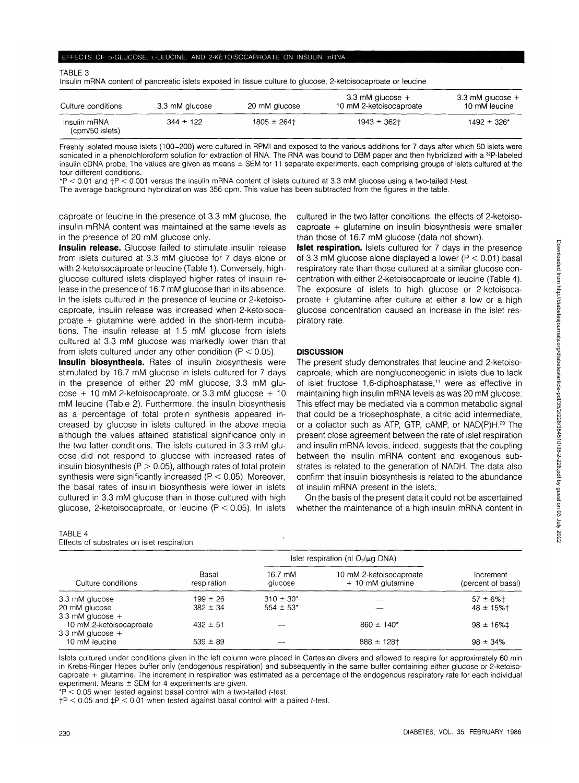| Insulin mRNA content of pancreatic islets exposed in tissue culture to glucose, 2-ketoisocaproate or leucine |                |                |                                               |                                     |  |
|--------------------------------------------------------------------------------------------------------------|----------------|----------------|-----------------------------------------------|-------------------------------------|--|
| Culture conditions                                                                                           | 3.3 mM glucose | 20 mM glucose  | 3.3 mM glucose $+$<br>10 mM 2-ketoisocaproate | 3.3 mM glucose $+$<br>10 mM leucine |  |
| Insulin mRNA<br>(cpm/50 islets)                                                                              | $344 \pm 122$  | $1805 \pm 264$ | $1943 \pm 362$                                | $1492 \pm 326$ *                    |  |

Freshly isolated mouse islets (100-200) were cultured in RPMI and exposed to the various additions for 7 days after which 50 islets were sonicated in a phenolchloroform solution for extraction of RNA. The RNA was bound to DBM paper and then hybridized with a <sup>32</sup>P-labeled insulin cDNA probe. The values are given as means  $\pm$  SEM for 11 separate experiments, each comprising groups of islets cultured at the four different conditions.

\*P < 0.01 and fP < 0.001 versus the insulin mRNA content of islets cultured at 3.3 mM glucose using a two-tailed f-test.

The average background hybridization was 356 cpm. This value has been subtracted from the figures in the table.

caproate or leucine in the presence of 3.3 mM glucose, the insulin mRNA content was maintained at the same levels as in the presence of 20 mM glucose only.

**Insulin release.** Glucose failed to stimulate insulin release from islets cultured at 3.3 mM glucose for 7 days alone or with 2-ketoisocaproate or leucine (Table 1). Conversely, highglucose cultured islets displayed higher rates of insulin release in the presence of 16.7 mM glucose than in its absence. In the islets cultured in the presence of leucine or 2-ketoisocaproate, insulin release was increased when 2-ketoisocaproate + glutamine were added in the short-term incubations. The insulin release at 1.5 mM glucose from islets cultured at 3.3 mM glucose was markedly lower than that from islets cultured under any other condition ( $P < 0.05$ ).

**Insulin biosynthesis.** Rates of insulin biosynthesis were stimulated by 16.7 mM glucose in islets cultured for 7 days in the presence of either 20 mM glucose, 3.3 mM glu- $\csc + 10$  mM 2-ketoisocaproate, or 3.3 mM glucose  $+ 10$ mM leucine (Table 2). Furthermore, the insulin biosynthesis as a percentage of total protein synthesis appeared increased by glucose in islets cultured in the above media although the values attained statistical significance only in the two latter conditions. The islets cultured in 3.3 mM glucose did not respond to glucose with increased rates of insulin biosynthesis ( $P > 0.05$ ), although rates of total protein synthesis were significantly increased (P < 0.05). Moreover, the basal rates of insulin biosynthesis were lower in islets cultured in 3.3 mM glucose than in those cultured with high glucose, 2-ketoisocaproate, or leucine ( $P < 0.05$ ). In islets

## TABLE 4

TABLE 3

Effects of substrates on islet respiration

| cultured in the two latter conditions, the effects of 2-ketoiso- |
|------------------------------------------------------------------|
| caproate + glutamine on insulin biosynthesis were smaller        |
| than those of 16.7 mM glucose (data not shown).                  |

**Islet respiration.** Islets cultured for 7 days in the presence of 3.3 mM glucose alone displayed a lower ( $P < 0.01$ ) basal respiratory rate than those cultured at a similar glucose concentration with either 2-ketoisocaproate or leucine (Table 4). The exposure of islets to high glucose or 2-ketoisocaproate + glutamine after culture at either a low or a high glucose concentration caused an increase in the islet respiratory rate.

# **DISCUSSION**

The present study demonstrates that leucine and 2-ketoisocaproate, which are nongluconeogenic in islets due to lack of islet fructose 1,6-diphosphatase,11 were as effective in maintaining high insulin mRNA levels as was 20 mM glucose. This effect may be mediated via a common metabolic signal that could be a triosephosphate, a citric acid intermediate, or a cofactor such as ATP, GTP, cAMP, or NAD(P)H.<sup>20</sup> The present close agreement between the rate of islet respiration and insulin mRNA levels, indeed, suggests that the coupling between the insulin mRNA content and exogenous substrates is related to the generation of NADH. The data also confirm that insulin biosynthesis is related to the abundance of insulin mRNA present in the islets.

On the basis of the present data it could not be ascertained whether the maintenance of a high insulin mRNA content in

| Culture conditions                            |                      | Islet respiration (nl $O_2/\mu$ g DNA) |                                              |                                 |
|-----------------------------------------------|----------------------|----------------------------------------|----------------------------------------------|---------------------------------|
|                                               | Basal<br>respiration | 16.7 mM<br>glucose                     | 10 mM 2-ketoisocaproate<br>+ 10 mM glutamine | Increment<br>(percent of basal) |
| 3.3 mM glucose                                | $199 \pm 26$         | $310 \pm 30^*$                         |                                              | $57 \pm 6\%$ $\pm$              |
| 20 mM glucose<br>3.3 mM glucose $+$           | $382 \pm 34$         | $554 \pm 53$ *                         |                                              | $48 \pm 15\%$ †                 |
| 10 mM 2-ketoisocaproate<br>3.3 mM glucose $+$ | $432 \pm 51$         |                                        | $860 \pm 140^*$                              | $98 \pm 16\%$ ‡                 |
| 10 mM leucine                                 | $539 \pm 89$         |                                        | $888 \pm 128$ t                              | $98 \pm 34\%$                   |

Islets cultured under conditions given in the left column were placed in Cartesian divers and allowed to respire for approximately 60 min in Krebs-Ringer Hepes buffer only (endogenous respiration) and subsequently in the same buffer containing either glucose or 2-ketoisocaproate + glutamine. The increment in respiration was estimated as a percentage of the endogenous respiratory rate for each individual experiment. Means  $\pm$  SEM for 4 experiments are given.

 $*P < 0.05$  when tested against basal control with a two-tailed t-test.

 $\uparrow$ P < 0.05 and  $\downarrow$ P < 0.01 when tested against basal control with a paired t-test.